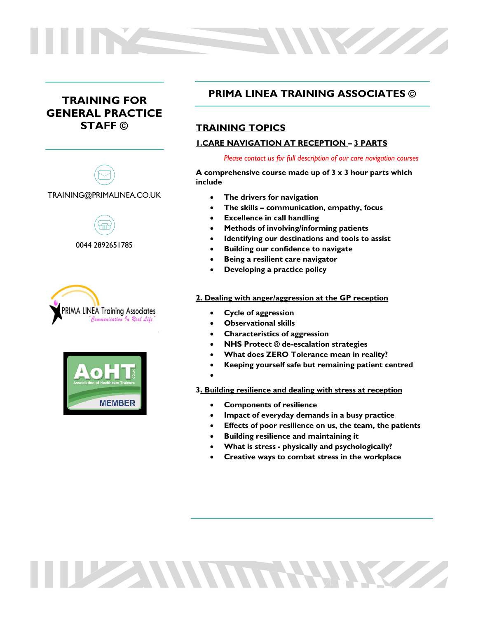# **TRAINING FOR GENERAL PRACTICE STAFF ©**









# **PRIMA LINEA TRAINING ASSOCIATES ©**

W

# **TRAINING TOPICS**

# **1.CARE NAVIGATION AT RECEPTION – 3 PARTS**

*Please contact us for full description of our care navigation courses*

**A comprehensive course made up of 3 x 3 hour parts which include**

- **The drivers for navigation**
- **The skills – communication, empathy, focus**
- **Excellence in call handling**
- **Methods of involving/informing patients**
- **Identifying our destinations and tools to assist**
- **Building our confidence to navigate**
- **Being a resilient care navigator**
- **Developing a practice policy**

## **2. Dealing with anger/aggression at the GP reception**

- **Cycle of aggression**
- **Observational skills**
- **Characteristics of aggression**
- **NHS Protect ® de-escalation strategies**
- **What does ZERO Tolerance mean in reality?**
- **Keeping yourself safe but remaining patient centred**
- •

**3. Building resilience and dealing with stress at reception**

• **Components of resilience**

TUZZAN MARTIN RAMA

- **Impact of everyday demands in a busy practice**
- **Effects of poor resilience on us, the team, the patients**
- **Building resilience and maintaining it**
- **What is stress - physically and psychologically?**
- **Creative ways to combat stress in the workplace**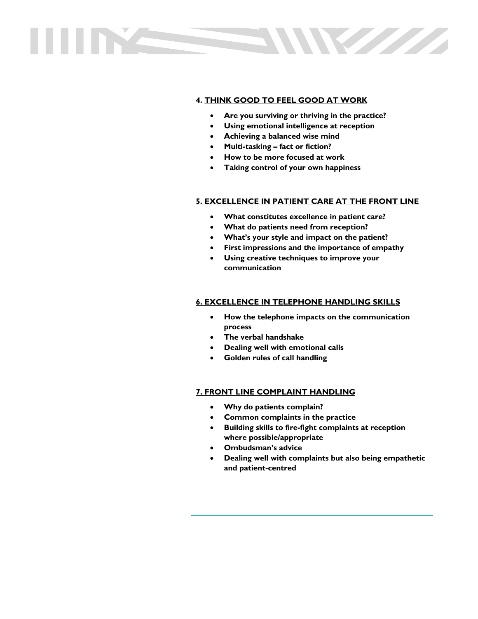# W

# **4. THINK GOOD TO FEEL GOOD AT WORK**

- **Are you surviving or thriving in the practice?**
- **Using emotional intelligence at reception**
- **Achieving a balanced wise mind**
- **Multi-tasking – fact or fiction?**
- **How to be more focused at work**
- **Taking control of your own happiness**

#### **5. EXCELLENCE IN PATIENT CARE AT THE FRONT LINE**

- **What constitutes excellence in patient care?**
- **What do patients need from reception?**
- **What's your style and impact on the patient?**
- **First impressions and the importance of empathy**
- **Using creative techniques to improve your communication**

#### **6. EXCELLENCE IN TELEPHONE HANDLING SKILLS**

- **How the telephone impacts on the communication process**
- **The verbal handshake**
- **Dealing well with emotional calls**
- **Golden rules of call handling**

#### **7. FRONT LINE COMPLAINT HANDLING**

- **Why do patients complain?**
- **Common complaints in the practice**
- **Building skills to fire-fight complaints at reception where possible/appropriate**
- **Ombudsman's advice**
- **Dealing well with complaints but also being empathetic and patient-centred**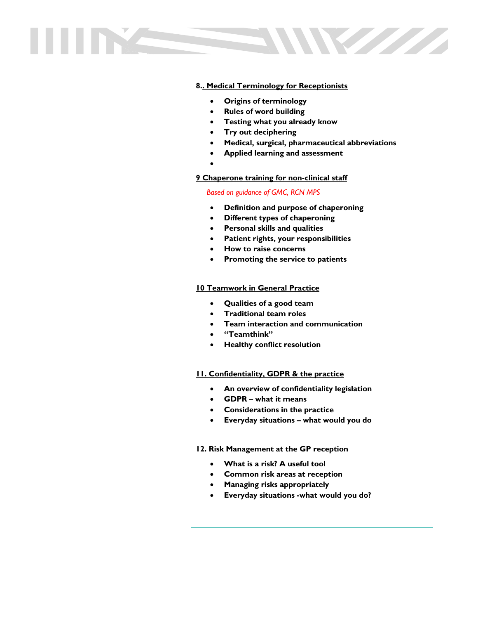

## **8.. Medical Terminology for Receptionists**

- **Origins of terminology**
- **Rules of word building**
- **Testing what you already know**
- **Try out deciphering**
- **Medical, surgical, pharmaceutical abbreviations**
- **Applied learning and assessment**
- •

## **9 Chaperone training for non-clinical staff**

#### *Based on guidance of GMC, RCN MPS*

- **Definition and purpose of chaperoning**
- **Different types of chaperoning**
- **Personal skills and qualities**
- **Patient rights, your responsibilities**
- **How to raise concerns**
- **Promoting the service to patients**

#### **10 Teamwork in General Practice**

- **Qualities of a good team**
- **Traditional team roles**
- **Team interaction and communication**
- **"Teamthink"**
- **Healthy conflict resolution**

#### **11. Confidentiality, GDPR & the practice**

- **An overview of confidentiality legislation**
- **GDPR – what it means**
- **Considerations in the practice**
- **Everyday situations – what would you do**

#### **12. Risk Management at the GP reception**

- **What is a risk? A useful tool**
- **Common risk areas at reception**
- **Managing risks appropriately**
- **Everyday situations -what would you do?**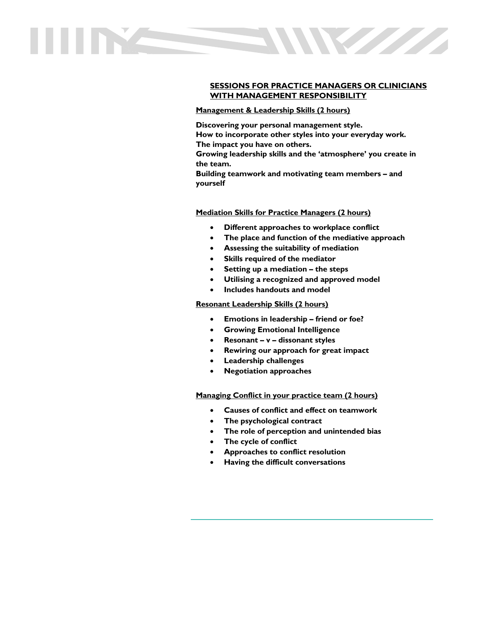

## **SESSIONS FOR PRACTICE MANAGERS OR CLINICIANS WITH MANAGEMENT RESPONSIBILITY**

#### **Management & Leadership Skills (2 hours)**

**Discovering your personal management style. How to incorporate other styles into your everyday work. The impact you have on others.** 

**Growing leadership skills and the 'atmosphere' you create in the team.** 

**Building teamwork and motivating team members – and yourself**

#### **Mediation Skills for Practice Managers (2 hours)**

- **Different approaches to workplace conflict**
- **The place and function of the mediative approach**
- **Assessing the suitability of mediation**
- **Skills required of the mediator**
- **Setting up a mediation – the steps**
- **Utilising a recognized and approved model**
- **Includes handouts and model**

#### **Resonant Leadership Skills (2 hours)**

- **Emotions in leadership – friend or foe?**
- **Growing Emotional Intelligence**
- **Resonant – v – dissonant styles**
- **Rewiring our approach for great impact**
- **Leadership challenges**
- **Negotiation approaches**

**Managing Conflict in your practice team (2 hours)**

- **Causes of conflict and effect on teamwork**
- **The psychological contract**
- **The role of perception and unintended bias**
- **The cycle of conflict**
- **Approaches to conflict resolution**
- **Having the difficult conversations**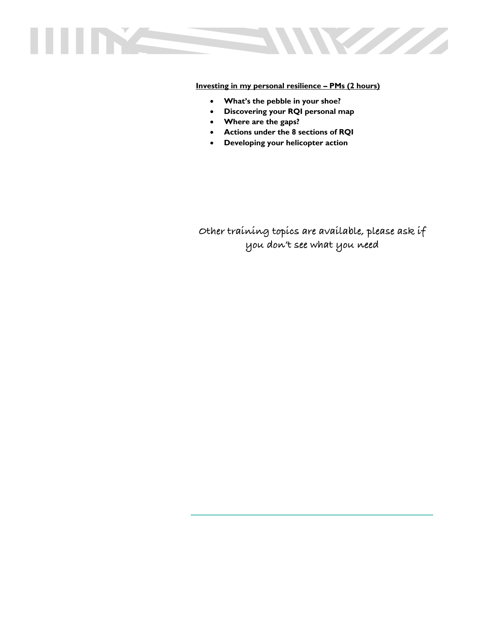

**Investing in my personal resilience – PMs (2 hours)**

- **What's the pebble in your shoe?**
- **Discovering your RQI personal map**
- **Where are the gaps?**
- **Actions under the 8 sections of RQI**
- **Developing your helicopter action**

**Other training topics are available, please ask if you don't see what you need**